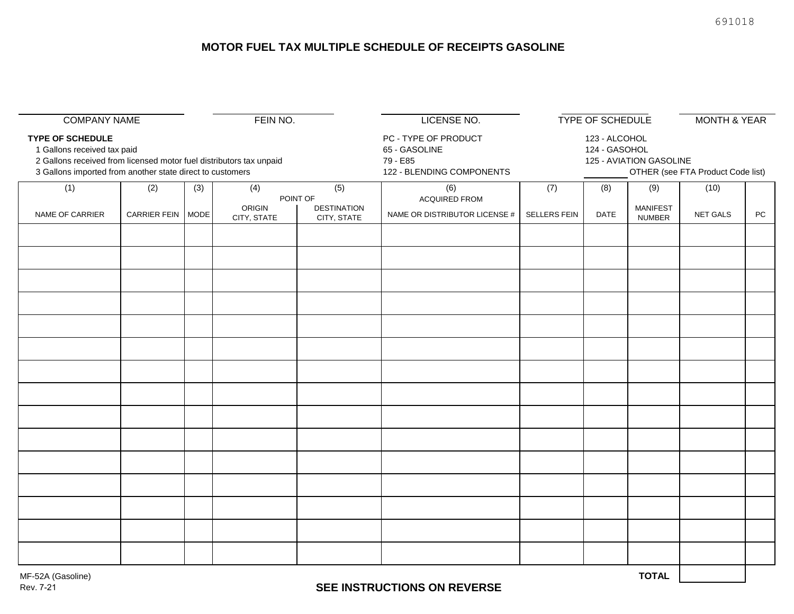# **MOTOR FUEL TAX MULTIPLE SCHEDULE OF RECEIPTS GASOLINE**

|                                                                                                                                                                  |                     |     |               |                                       | LICENSE NO.                                       |                                                                                      |             |                        | <b>MONTH &amp; YEAR</b> |            |
|------------------------------------------------------------------------------------------------------------------------------------------------------------------|---------------------|-----|---------------|---------------------------------------|---------------------------------------------------|--------------------------------------------------------------------------------------|-------------|------------------------|-------------------------|------------|
| <b>COMPANY NAME</b><br>FEIN NO.<br><b>TYPE OF SCHEDULE</b><br>1 Gallons received tax paid<br>2 Gallons received from licensed motor fuel distributors tax unpaid |                     |     |               |                                       | PC - TYPE OF PRODUCT<br>65 - GASOLINE<br>79 - E85 | <b>TYPE OF SCHEDULE</b><br>123 - ALCOHOL<br>124 - GASOHOL<br>125 - AVIATION GASOLINE |             |                        |                         |            |
| 3 Gallons imported from another state direct to customers                                                                                                        |                     |     |               |                                       | 122 - BLENDING COMPONENTS                         | OTHER (see FTA Product Code list)                                                    |             |                        |                         |            |
| (1)                                                                                                                                                              | (2)                 | (3) | (4)<br>ORIGIN | (5)<br>POINT OF<br><b>DESTINATION</b> | (6)<br><b>ACQUIRED FROM</b>                       | (7)                                                                                  | (8)         | (9)<br><b>MANIFEST</b> | (10)                    |            |
| NAME OF CARRIER                                                                                                                                                  | CARRIER FEIN   MODE |     | CITY, STATE   | CITY, STATE                           | NAME OR DISTRIBUTOR LICENSE #                     | SELLERS FEIN                                                                         | <b>DATE</b> | <b>NUMBER</b>          | NET GALS                | ${\sf PC}$ |
|                                                                                                                                                                  |                     |     |               |                                       |                                                   |                                                                                      |             |                        |                         |            |
|                                                                                                                                                                  |                     |     |               |                                       |                                                   |                                                                                      |             |                        |                         |            |
|                                                                                                                                                                  |                     |     |               |                                       |                                                   |                                                                                      |             |                        |                         |            |
|                                                                                                                                                                  |                     |     |               |                                       |                                                   |                                                                                      |             |                        |                         |            |
|                                                                                                                                                                  |                     |     |               |                                       |                                                   |                                                                                      |             |                        |                         |            |
|                                                                                                                                                                  |                     |     |               |                                       |                                                   |                                                                                      |             |                        |                         |            |
|                                                                                                                                                                  |                     |     |               |                                       |                                                   |                                                                                      |             |                        |                         |            |
|                                                                                                                                                                  |                     |     |               |                                       |                                                   |                                                                                      |             |                        |                         |            |
|                                                                                                                                                                  |                     |     |               |                                       |                                                   |                                                                                      |             |                        |                         |            |
|                                                                                                                                                                  |                     |     |               |                                       |                                                   |                                                                                      |             |                        |                         |            |
|                                                                                                                                                                  |                     |     |               |                                       |                                                   |                                                                                      |             |                        |                         |            |
|                                                                                                                                                                  |                     |     |               |                                       |                                                   |                                                                                      |             |                        |                         |            |
|                                                                                                                                                                  |                     |     |               |                                       |                                                   |                                                                                      |             |                        |                         |            |
|                                                                                                                                                                  |                     |     |               |                                       |                                                   |                                                                                      |             |                        |                         |            |
|                                                                                                                                                                  |                     |     |               |                                       |                                                   |                                                                                      |             |                        |                         |            |